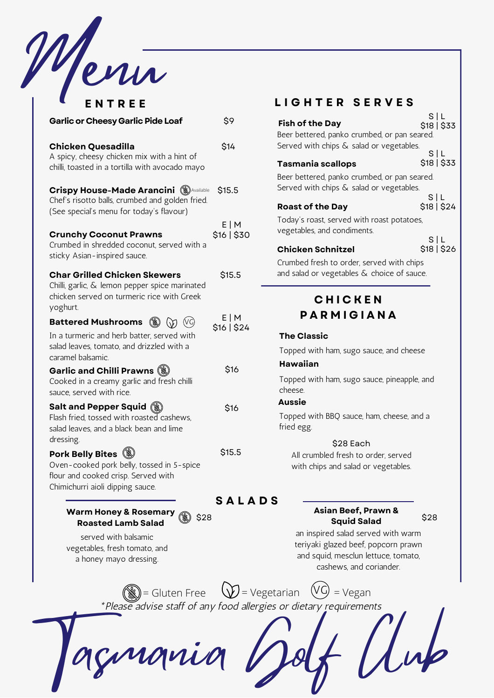

| ENTREE                                                                                                                                                                                 |                    |
|----------------------------------------------------------------------------------------------------------------------------------------------------------------------------------------|--------------------|
| <b>Garlic or Cheesy Garlic Pide Loaf</b>                                                                                                                                               | \$9                |
| <b>Chicken Quesadilla</b><br>A spicy, cheesy chicken mix with a hint of<br>chilli, toasted in a tortilla with avocado mayo                                                             | \$14               |
| <b>Crispy House-Made Arancini (S) Available</b><br>Chef's risotto balls, crumbed and golden fried.<br>(See special's menu for today's flavour)                                         | \$15.5             |
| <b>Crunchy Coconut Prawns</b><br>Crumbed in shredded coconut, served with a<br>sticky Asian-inspired sauce.                                                                            | E M<br>\$16   \$30 |
| <b>Char Grilled Chicken Skewers</b><br>Chilli, garlic, & lemon pepper spice marinated<br>chicken served on turmeric rice with Greek<br>yoghurt.                                        | \$15.5             |
| <b>Battered Mushrooms</b><br>$\circledast$ $\circledast$ $\circledast$<br>In a turmeric and herb batter, served with<br>salad leaves, tomato, and drizzled with a<br>caramel balsamic. | E M<br>\$16   \$24 |
| Garlic and Chilli Prawns (<br>Cooked in a creamy garlic and fresh chilli<br>sauce, served with rice.                                                                                   | \$16               |
| <b>Salt and Pepper Squid (\)</b><br>Flash fried, tossed with roasted cashews,<br>salad leaves, and a black bean and lime<br>dressing.                                                  | \$16               |
| Pork Belly Bites (<br>Oven-cooked pork belly, tossed in 5-spice<br>flour and cooked crisp. Served with<br>Chimichurri aioli dipping sauce.                                             | \$15.5             |
|                                                                                                                                                                                        | SAL <sub>1</sub>   |

**Warm Honey & Rosemary** \$28 **Roasted Lamb Salad**

served with balsamic vegetables, fresh tomato, and a honey mayo dressing.

## **E N T R E E L I G H T E R S E R V E S**

|                                               | S L         |
|-----------------------------------------------|-------------|
| <b>Fish of the Day</b>                        | \$18   \$33 |
| Beer bettered, panko crumbed, or pan seared.  |             |
| Served with chips & salad or vegetables.      |             |
|                                               | S L         |
| Tasmania scallops                             | \$18   \$33 |
| Beer bettered, panko crumbed, or pan seared.  |             |
| Served with chips $\&$ salad or vegetables.   |             |
|                                               | SIL         |
| <b>Roast of the Day</b>                       | \$18   \$24 |
| Today's roast, served with roast potatoes,    |             |
| vegetables, and condiments.                   |             |
|                                               | S L         |
| Chicken Schnitzel                             | \$18   \$26 |
| Crumbed fresh to order, served with chips     |             |
| and salad or vegetables $\&$ choice of sauce. |             |

# **C H I C K E N P A R M I G I A N A**

### **The Classic**

Topped with ham, sugo sauce, and cheese

### **Hawaiian**

Topped with ham, sugo sauce, pineapple, and cheese.

### **Aussie**

Topped with BBQ sauce, ham, cheese, and a fried egg.

### \$28 Each

All crumbled fresh to order, served with chips and salad or vegetables.

### **S A L A D S**

### **Asian Beef, Prawn & Squid Salad**

\$28

an inspired salad served with warm teriyaki glazed beef, popcorn prawn and squid, mesclun lettuce, tomato, cashews, and coriander.

\*Please advise staff of any food allergies or dietary requirements  $\binom{2}{\mathbb{N}}$  = Gluten Free  $\binom{1}{\mathbb{N}}$  = Vegetarian  $\binom{1}{\mathbb{N}}$  = Vegan

nania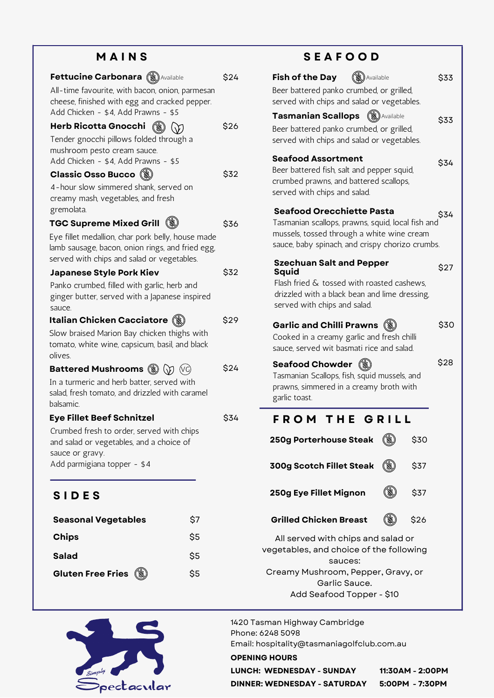## **M A I N S**

| <b>Fettucine Carbonara (W) Available</b>                                                                                                | \$24 |
|-----------------------------------------------------------------------------------------------------------------------------------------|------|
| All-time favourite, with bacon, onion, parmesan<br>cheese, finished with egg and cracked pepper.<br>Add Chicken - \$4, Add Prawns - \$5 |      |
| <b>Herb Ricotta Gnocchi</b>                                                                                                             | \$26 |
| Tender gnocchi pillows folded through a                                                                                                 |      |
| mushroom pesto cream sauce.                                                                                                             |      |
| Add Chicken - \$4, Add Prawns - \$5                                                                                                     |      |
| <b>Classic Osso Bucco</b> (3)                                                                                                           | \$32 |
| 4-hour slow simmered shank, served on                                                                                                   |      |
| creamy mash, vegetables, and fresh                                                                                                      |      |
| gremolata.                                                                                                                              |      |
| <b>TGC Supreme Mixed Grill</b>                                                                                                          | \$36 |
| Eye fillet medallion, char pork belly, house made<br>lamb sausage, bacon, onion rings, and fried egg,                                   |      |
| served with chips and salad or vegetables.                                                                                              |      |
| <b>Japanese Style Pork Kiev</b>                                                                                                         | \$32 |
| Panko crumbed, filled with garlic, herb and                                                                                             |      |
| ginger butter, served with a Japanese inspired                                                                                          |      |
| sauce.                                                                                                                                  |      |
| <b>Italian Chicken Cacciatore (</b>                                                                                                     | \$29 |
| Slow braised Marion Bay chicken thighs with                                                                                             |      |
| tomato, white wine, capsicum, basil, and black                                                                                          |      |
| olives.                                                                                                                                 | \$24 |
| <b>Battered Mushrooms (S) (y) (vc)</b>                                                                                                  |      |
| In a turmeric and herb batter, served with<br>salad, fresh tomato, and drizzled with caramel                                            |      |
| balsamic.                                                                                                                               |      |
| <b>Eye Fillet Beef Schnitzel</b>                                                                                                        | \$34 |
| Crumbed fresh to order, served with chips                                                                                               |      |
| and salad or vegetables, and a choice of                                                                                                |      |
| sauce or gravy.                                                                                                                         |      |
| Add parmigiana topper - \$4                                                                                                             |      |
|                                                                                                                                         |      |
| <b>SIDES</b>                                                                                                                            |      |
| \$7<br><b>Seasonal Vegetables</b>                                                                                                       |      |
| \$5<br><b>Chips</b>                                                                                                                     |      |
| \$5<br><b>Salad</b>                                                                                                                     |      |
| <b>Gluten Free Fries</b><br>(X<br>\$5                                                                                                   |      |



# **S E A F O O D**

| (S) Available<br><b>Fish of the Day</b><br>Beer battered panko crumbed, or grilled,           | \$33 |
|-----------------------------------------------------------------------------------------------|------|
| served with chips and salad or vegetables.                                                    |      |
| (S) Available                                                                                 |      |
| <b>Tasmanian Scallops</b>                                                                     | \$33 |
| Beer battered panko crumbed, or grilled,<br>served with chips and salad or vegetables.        |      |
| <b>Seafood Assortment</b>                                                                     | \$34 |
| Beer battered fish, salt and pepper squid,                                                    |      |
| crumbed prawns, and battered scallops,                                                        |      |
| served with chips and salad.                                                                  |      |
| <b>Seafood Orecchiette Pasta</b><br>Tasmanian scallops, prawns, squid, local fish and         | \$34 |
| mussels, tossed through a white wine cream<br>sauce, baby spinach, and crispy chorizo crumbs. |      |
|                                                                                               |      |
| <b>Szechuan Salt and Pepper</b>                                                               | \$27 |
| Squid<br>Flash fried & tossed with roasted cashews,                                           |      |
| drizzled with a black bean and lime dressing,                                                 |      |
| served with chips and salad.                                                                  |      |
|                                                                                               |      |
| <b>Garlic and Chilli Prawns</b>                                                               | \$30 |
| Cooked in a creamy garlic and fresh chilli<br>sauce, served wit basmati rice and salad.       |      |
|                                                                                               |      |
| <b>Seafood Chowder</b>                                                                        | \$28 |
| Tasmanian Scallops, fish, squid mussels, and                                                  |      |
| prawns, simmered in a creamy broth with<br>garlic toast.                                      |      |
|                                                                                               |      |
| FROM THE GRILL                                                                                |      |
| <b>250g Porterhouse Steak</b><br>\$30                                                         |      |
|                                                                                               |      |
| \$37<br><b>300g Scotch Fillet Steak</b>                                                       |      |
|                                                                                               |      |
| 250g Eye Fillet Mignon<br>\$37                                                                |      |
|                                                                                               |      |
| <b>Grilled Chicken Breast</b><br>\$26                                                         |      |
| All served with chips and salad or                                                            |      |
| vegetables, and choice of the following                                                       |      |
| sauces:                                                                                       |      |
| Creamy Mushroom, Pepper, Gravy, or                                                            |      |

Garlic Sauce.

Add Seafood Topper - \$10

1420 Tasman Highway Cambridge Phone: 6248 5098 Email: hospitality@tasmaniagolfclub.com.au

### **OPENING HOURS**

**LUNCH: WEDNESDAY - SUNDAY 11:30AM - 2:00PM DINNER: WEDNESDAY - SATURDAY 5:00PM - 7:30PM**